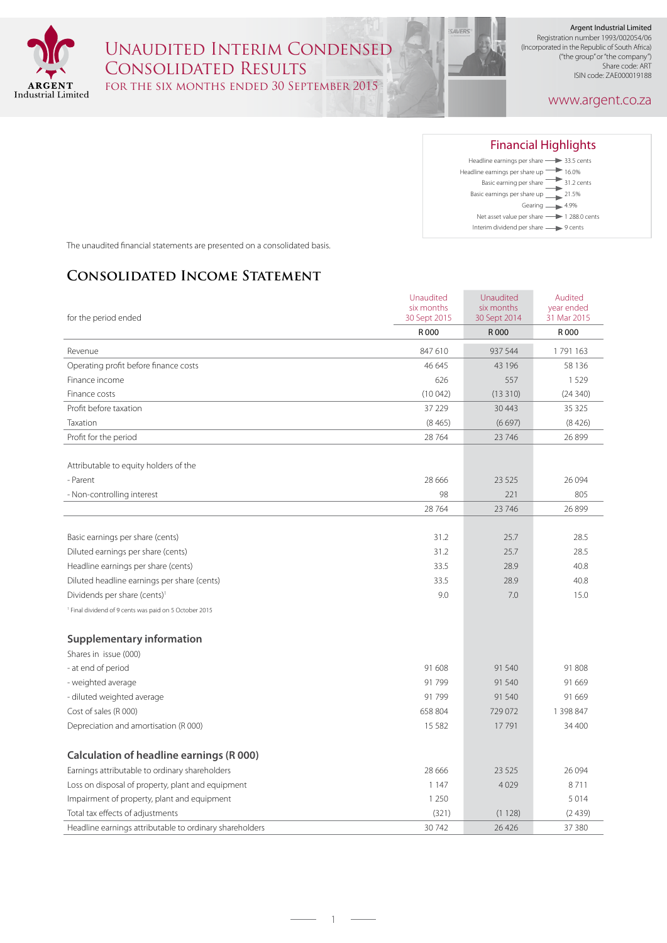

## Unaudited Interim Condensed Consolidated Results for the six months ended 30 September 2015

Argent Industrial Limited Registration number 1993/002054/06 (Incorporated in the Republic of South Africa) ("the group" or "the company") Share code: ART ISIN code: ZAE000019188

#### www.argent.co.za



The unaudited financial statements are presented on a consolidated basis.

### **Consolidated Income Statement**

|                                                                   | Unaudited<br>six months | Unaudited<br>six months | Audited<br>year ended |
|-------------------------------------------------------------------|-------------------------|-------------------------|-----------------------|
| for the period ended                                              | 30 Sept 2015            | 30 Sept 2014            | 31 Mar 2015           |
|                                                                   | R 000                   | R 000                   | R 000                 |
| Revenue                                                           | 847 610                 | 937 544                 | 1791163               |
| Operating profit before finance costs                             | 46 645                  | 43 196                  | 58 136                |
| Finance income                                                    | 626                     | 557                     | 1529                  |
| Finance costs                                                     | (10042)                 | (13310)                 | (24340)               |
| Profit before taxation                                            | 37 229                  | 30 4 43                 | 35 325                |
| Taxation                                                          | (8465)                  | (6697)                  | (8426)                |
| Profit for the period                                             | 28764                   | 23 74 6                 | 26899                 |
| Attributable to equity holders of the                             |                         |                         |                       |
| - Parent                                                          | 28 6 6 6                | 23 5 25                 | 26 0 94               |
| - Non-controlling interest                                        | 98                      | 221                     | 805                   |
|                                                                   | 28764                   | 23 74 6                 | 26 899                |
|                                                                   |                         |                         |                       |
| Basic earnings per share (cents)                                  | 31.2                    | 25.7                    | 28.5                  |
| Diluted earnings per share (cents)                                | 31.2                    | 25.7                    | 28.5                  |
| Headline earnings per share (cents)                               | 33.5                    | 28.9                    | 40.8                  |
| Diluted headline earnings per share (cents)                       | 33.5                    | 28.9                    | 40.8                  |
| Dividends per share (cents) <sup>1</sup>                          | 9.0                     | 7.0                     | 15.0                  |
| <sup>1</sup> Final dividend of 9 cents was paid on 5 October 2015 |                         |                         |                       |
| <b>Supplementary information</b>                                  |                         |                         |                       |
| Shares in issue (000)                                             |                         |                         |                       |
| - at end of period                                                | 91 608                  | 91 540                  | 91 808                |
| - weighted average                                                | 91799                   | 91 540                  | 91 669                |
| - diluted weighted average                                        | 91799                   | 91 540                  | 91 669                |
| Cost of sales (R 000)                                             | 658 804                 | 729 072                 | 1 398 847             |
| Depreciation and amortisation (R 000)                             | 15 5 8 2                | 17791                   | 34 400                |
|                                                                   |                         |                         |                       |
| <b>Calculation of headline earnings (R 000)</b>                   |                         |                         |                       |
| Earnings attributable to ordinary shareholders                    | 28 6 6 6                | 23 5 25                 | 26 0 94               |
| Loss on disposal of property, plant and equipment                 | 1 1 4 7                 | 4029                    | 8711                  |
| Impairment of property, plant and equipment                       | 1 2 5 0                 |                         | 5014                  |
| Total tax effects of adjustments                                  | (321)                   | (1128)                  | (2439)                |
| Headline earnings attributable to ordinary shareholders           | 30742                   | 26 4 26                 | 37 380                |

 $-1$   $-$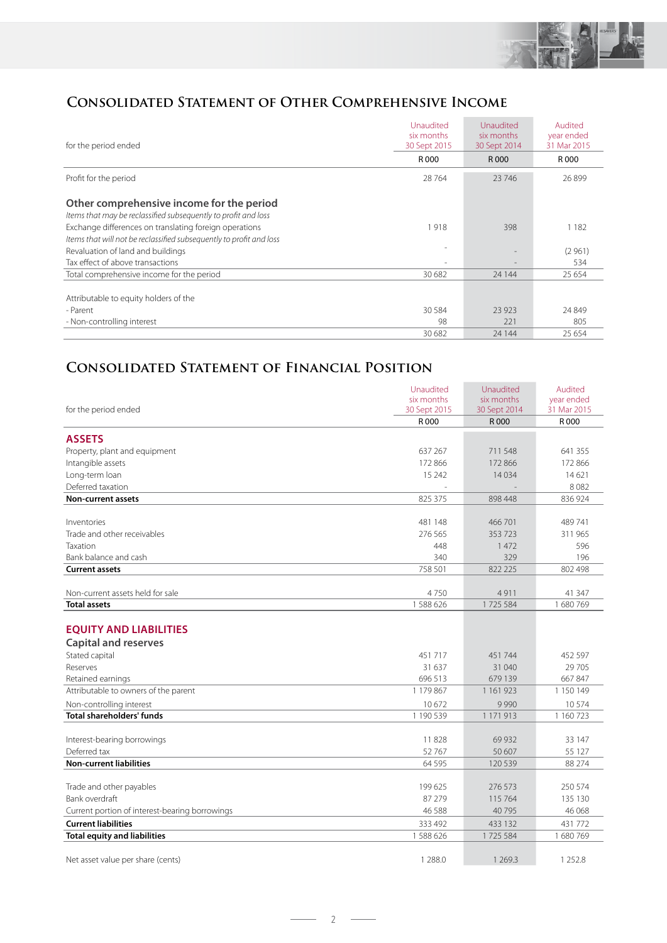

### **Consolidated Statement of Other Comprehensive Income**

| for the period ended                                                                                        | Unaudited<br>six months<br>30 Sept 2015 | Unaudited<br>six months<br>30 Sept 2014 | Audited<br>year ended<br>31 Mar 2015 |
|-------------------------------------------------------------------------------------------------------------|-----------------------------------------|-----------------------------------------|--------------------------------------|
|                                                                                                             | R 000                                   | R 000                                   | R 000                                |
| Profit for the period                                                                                       | 28764                                   | 23 746                                  | 26899                                |
| Other comprehensive income for the period<br>Items that may be reclassified subsequently to profit and loss |                                         |                                         |                                      |
| Exchange differences on translating foreign operations                                                      | 1918                                    | 398                                     | 1 1 8 2                              |
| Items that will not be reclassified subsequently to profit and loss                                         |                                         |                                         |                                      |
| Revaluation of land and buildings                                                                           |                                         |                                         | (2961)                               |
| Tax effect of above transactions                                                                            |                                         |                                         | 534                                  |
| Total comprehensive income for the period                                                                   | 30 682                                  | 24 144                                  | 25 654                               |
|                                                                                                             |                                         |                                         |                                      |
| Attributable to equity holders of the                                                                       |                                         |                                         |                                      |
| - Parent                                                                                                    | 30 5 84                                 | 23 9 23                                 | 24 8 49                              |
| - Non-controlling interest                                                                                  | 98                                      | 221                                     | 805                                  |
|                                                                                                             | 30 682                                  | 24 144                                  | 25 6 5 4                             |

### **Consolidated Statement of Financial Position**

|                                                | Unaudited<br>six months | Unaudited<br>six months | Audited<br>year ended |
|------------------------------------------------|-------------------------|-------------------------|-----------------------|
| for the period ended                           | 30 Sept 2015            | 30 Sept 2014            | 31 Mar 2015           |
|                                                | R 000                   | R 000                   | R 000                 |
| <b>ASSETS</b>                                  |                         |                         |                       |
| Property, plant and equipment                  | 637 267                 | 711 548                 | 641 355               |
| Intangible assets                              | 172 866                 | 172 866                 | 172 866               |
|                                                | 15 24 2                 | 14034                   | 14621                 |
| Long-term loan<br>Deferred taxation            |                         |                         | 8082                  |
| <b>Non-current assets</b>                      | 825 375                 | 898 448                 | 836 924               |
|                                                |                         |                         |                       |
| Inventories                                    | 481 148                 | 466 701                 | 489741                |
| Trade and other receivables                    | 276.565                 | 353723                  | 311 965               |
| Taxation                                       | 448                     | 1472                    | 596                   |
| Bank balance and cash                          | 340                     | 329                     | 196                   |
| <b>Current assets</b>                          | 758 501                 | 822 225                 | 802 498               |
|                                                |                         |                         |                       |
| Non-current assets held for sale               | 4750                    | 4911                    | 41 347                |
| <b>Total assets</b>                            | 1588626                 | 1725 584                | 1680769               |
|                                                |                         |                         |                       |
| <b>EQUITY AND LIABILITIES</b>                  |                         |                         |                       |
| <b>Capital and reserves</b>                    |                         |                         |                       |
| Stated capital                                 | 451717                  | 451744                  | 452 597               |
| Reserves                                       | 31 637                  | 31 040                  | 29 705                |
| Retained earnings                              | 696 513                 | 679 139                 | 667847                |
| Attributable to owners of the parent           | 1 179 867               | 1 1 6 1 9 2 3           | 1 150 149             |
| Non-controlling interest                       | 10672                   | 9990                    | 10574                 |
| <b>Total shareholders' funds</b>               | 1 190 539               | 1 171 913               | 1 160 723             |
|                                                |                         |                         |                       |
| Interest-bearing borrowings                    | 11828                   | 69932                   | 33 147                |
| Deferred tax                                   | 52767                   | 50 607                  | 55 127                |
| <b>Non-current liabilities</b>                 | 64 5 95                 | 120 539                 | 88 274                |
|                                                |                         |                         |                       |
| Trade and other payables                       | 199625                  | 276 573                 | 250 574               |
| Bank overdraft                                 | 87 279                  | 115 764                 | 135 130               |
| Current portion of interest-bearing borrowings | 46 5 88                 | 40 7 95                 | 46 068                |
| <b>Current liabilities</b>                     | 333 492                 | 433 132                 | 431772                |
| <b>Total equity and liabilities</b>            | 1588626                 | 1725 584                | 1680769               |
|                                                |                         |                         |                       |
| Net asset value per share (cents)              | 1 2 8 8 .0              | 1 2 6 9 . 3             | 1 2 5 2.8             |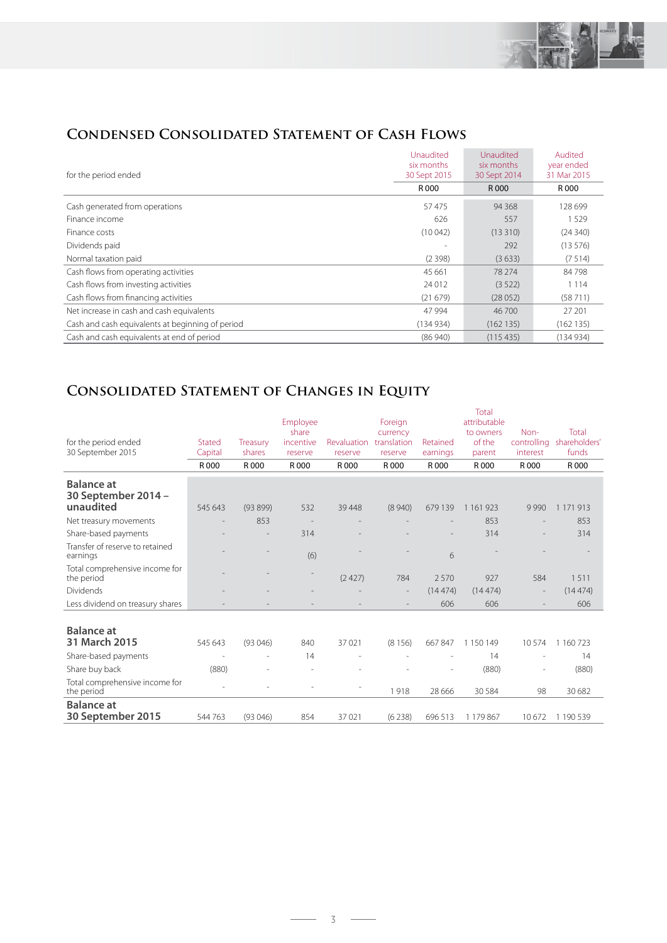

## **Condensed Consolidated Statement of Cash Flows**

| for the period ended                             | Unaudited<br>six months<br>30 Sept 2015 | Unaudited<br>six months<br>30 Sept 2014 | Audited<br>year ended<br>31 Mar 2015 |
|--------------------------------------------------|-----------------------------------------|-----------------------------------------|--------------------------------------|
|                                                  | R 000                                   | R 000                                   | R 000                                |
| Cash generated from operations                   | 57475                                   | 94 3 68                                 | 128 699                              |
| Finance income                                   | 626                                     | 557                                     | 1529                                 |
| Finance costs                                    | (10042)                                 | (13310)                                 | (24340)                              |
| Dividends paid                                   |                                         | 292                                     | (13576)                              |
| Normal taxation paid                             | (2398)                                  | (3633)                                  | (7514)                               |
| Cash flows from operating activities             | 45 661                                  | 78 274                                  | 84798                                |
| Cash flows from investing activities             | 24 0 12                                 | (3522)                                  | 1 1 1 4                              |
| Cash flows from financing activities             | (21679)                                 | (28052)                                 | (58711)                              |
| Net increase in cash and cash equivalents        | 47 994                                  | 46 700                                  | 27 201                               |
| Cash and cash equivalents at beginning of period | (134934)                                | (162135)                                | (162135)                             |
| Cash and cash equivalents at end of period       | (86940)                                 | (115435)                                | (134934)                             |

# **Consolidated Statement of Changes in Equity**

| attributable<br>Employee<br>Foreign<br>Non-<br>share<br>currency<br>to owners<br>of the<br>controlling<br>incentive<br>Revaluation<br>translation<br>for the period ended<br>Stated<br>Retained<br>Treasury<br>30 September 2015<br>Capital<br>shares<br>interest<br>earnings<br>reserve<br>reserve<br>reserve<br>parent<br>R 000<br>R 000<br>R 000<br>R 000<br>R 000<br>R 000<br>R 000<br>R 000<br><b>Balance at</b><br>30 September 2014 -<br>unaudited<br>545 643<br>(93899)<br>532<br>39 4 48<br>(8940)<br>679 139<br>1 1 6 1 9 2 3<br>9990<br>1 171 913<br>853<br>853<br>Net treasury movements<br>Share-based payments<br>314<br>314<br>Transfer of reserve to retained<br>(6)<br>6<br>earnings<br>Total comprehensive income for<br>(2427)<br>927<br>584<br>784<br>2570<br>the period |               |
|----------------------------------------------------------------------------------------------------------------------------------------------------------------------------------------------------------------------------------------------------------------------------------------------------------------------------------------------------------------------------------------------------------------------------------------------------------------------------------------------------------------------------------------------------------------------------------------------------------------------------------------------------------------------------------------------------------------------------------------------------------------------------------------------|---------------|
|                                                                                                                                                                                                                                                                                                                                                                                                                                                                                                                                                                                                                                                                                                                                                                                              |               |
|                                                                                                                                                                                                                                                                                                                                                                                                                                                                                                                                                                                                                                                                                                                                                                                              | Total         |
|                                                                                                                                                                                                                                                                                                                                                                                                                                                                                                                                                                                                                                                                                                                                                                                              | shareholders' |
|                                                                                                                                                                                                                                                                                                                                                                                                                                                                                                                                                                                                                                                                                                                                                                                              | funds         |
|                                                                                                                                                                                                                                                                                                                                                                                                                                                                                                                                                                                                                                                                                                                                                                                              | R 000         |
|                                                                                                                                                                                                                                                                                                                                                                                                                                                                                                                                                                                                                                                                                                                                                                                              |               |
|                                                                                                                                                                                                                                                                                                                                                                                                                                                                                                                                                                                                                                                                                                                                                                                              |               |
|                                                                                                                                                                                                                                                                                                                                                                                                                                                                                                                                                                                                                                                                                                                                                                                              | 853           |
|                                                                                                                                                                                                                                                                                                                                                                                                                                                                                                                                                                                                                                                                                                                                                                                              | 314           |
|                                                                                                                                                                                                                                                                                                                                                                                                                                                                                                                                                                                                                                                                                                                                                                                              |               |
|                                                                                                                                                                                                                                                                                                                                                                                                                                                                                                                                                                                                                                                                                                                                                                                              | 1511          |
| <b>Dividends</b><br>(14474)<br>(14474)<br>$\qquad \qquad$<br>$\overline{\phantom{a}}$                                                                                                                                                                                                                                                                                                                                                                                                                                                                                                                                                                                                                                                                                                        | (14474)       |
| Less dividend on treasury shares<br>606<br>606                                                                                                                                                                                                                                                                                                                                                                                                                                                                                                                                                                                                                                                                                                                                               | 606           |
|                                                                                                                                                                                                                                                                                                                                                                                                                                                                                                                                                                                                                                                                                                                                                                                              |               |
| <b>Balance</b> at                                                                                                                                                                                                                                                                                                                                                                                                                                                                                                                                                                                                                                                                                                                                                                            |               |
| 31 March 2015<br>37 0 21<br>545 643<br>(93046)<br>840<br>(8156)<br>667847<br>1 150 149<br>10574                                                                                                                                                                                                                                                                                                                                                                                                                                                                                                                                                                                                                                                                                              | 1 160 723     |
| Share-based payments<br>14<br>14                                                                                                                                                                                                                                                                                                                                                                                                                                                                                                                                                                                                                                                                                                                                                             | 14            |
| Share buy back<br>(880)<br>(880)                                                                                                                                                                                                                                                                                                                                                                                                                                                                                                                                                                                                                                                                                                                                                             | (880)         |
| Total comprehensive income for<br>1918<br>28 6 6 6<br>30 5 84<br>98<br>the period                                                                                                                                                                                                                                                                                                                                                                                                                                                                                                                                                                                                                                                                                                            | 30 682        |
| <b>Balance at</b><br>30 September 2015<br>37021<br>544 763<br>(93046)<br>854<br>(6238)<br>696 513<br>1 179 867<br>10672                                                                                                                                                                                                                                                                                                                                                                                                                                                                                                                                                                                                                                                                      | 1 190 539     |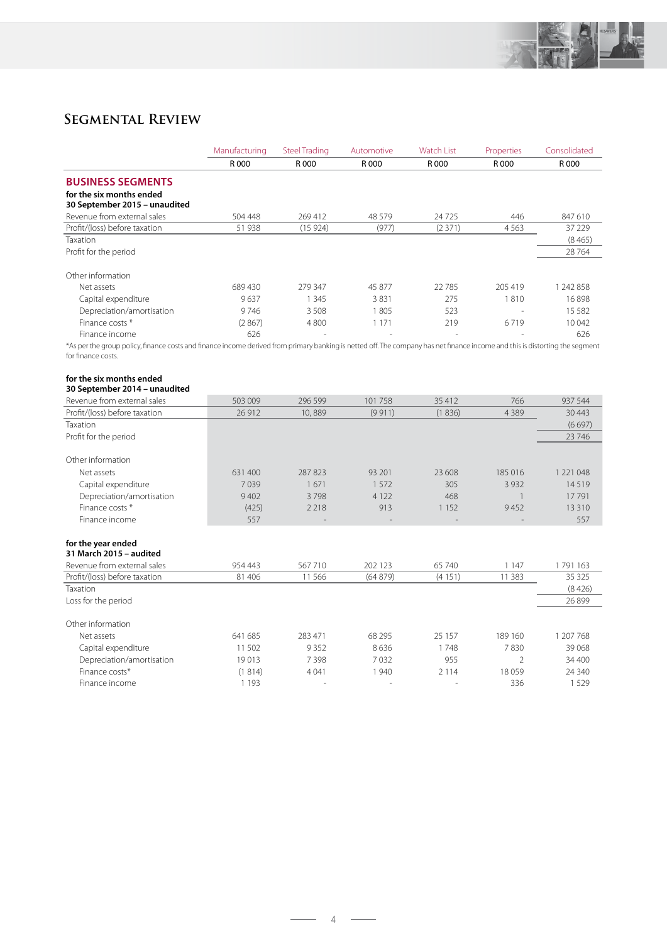

## **Segmental Review**

|                                                                                                                                                                              | Manufacturing | <b>Steel Trading</b> | Automotive | <b>Watch List</b> | Properties     | Consolidated |
|------------------------------------------------------------------------------------------------------------------------------------------------------------------------------|---------------|----------------------|------------|-------------------|----------------|--------------|
|                                                                                                                                                                              | R 000         | R 000                | R 000      | R 000             | R 000          | R 000        |
| <b>BUSINESS SEGMENTS</b>                                                                                                                                                     |               |                      |            |                   |                |              |
| for the six months ended                                                                                                                                                     |               |                      |            |                   |                |              |
| 30 September 2015 - unaudited                                                                                                                                                |               |                      |            |                   |                |              |
| Revenue from external sales                                                                                                                                                  | 504 448       | 269412               | 48 579     | 24725             | 446            | 847 610      |
| Profit/(loss) before taxation                                                                                                                                                | 51 938        | (15924)              | (977)      | (2371)            | 4563           | 37 229       |
| Taxation                                                                                                                                                                     |               |                      |            |                   |                | (8465)       |
| Profit for the period                                                                                                                                                        |               |                      |            |                   |                | 28 7 64      |
| Other information                                                                                                                                                            |               |                      |            |                   |                |              |
| Net assets                                                                                                                                                                   | 689430        | 279 347              | 45 877     | 22785             | 205 419        | 1 242 858    |
| Capital expenditure                                                                                                                                                          | 9637          | 1 3 4 5              | 3831       | 275               | 1810           | 16898        |
| Depreciation/amortisation                                                                                                                                                    | 9746          | 3508                 | 1805       | 523               |                | 15 5 8 2     |
| Finance costs *                                                                                                                                                              | (2867)        | 4800                 | 1 1 7 1    | 219               | 6719           | 10042        |
| Finance income                                                                                                                                                               | 626           |                      |            |                   |                | 626          |
| *As per the group policy, finance costs and finance income derived from primary banking is netted off. The company has net finance income and this is distorting the segment |               |                      |            |                   |                |              |
| for finance costs.                                                                                                                                                           |               |                      |            |                   |                |              |
|                                                                                                                                                                              |               |                      |            |                   |                |              |
| for the six months ended                                                                                                                                                     |               |                      |            |                   |                |              |
| 30 September 2014 - unaudited                                                                                                                                                |               |                      |            |                   |                |              |
| Revenue from external sales                                                                                                                                                  | 503 009       | 296 599              | 101 758    | 35 412            | 766            | 937 544      |
| Profit/(loss) before taxation                                                                                                                                                | 26 912        | 10,889               | (9911)     | (1836)            | 4 3 8 9        | 30 4 43      |
| Taxation                                                                                                                                                                     |               |                      |            |                   |                | (6697)       |
| Profit for the period                                                                                                                                                        |               |                      |            |                   |                | 23 746       |
| Other information                                                                                                                                                            |               |                      |            |                   |                |              |
| Net assets                                                                                                                                                                   | 631 400       | 287 823              | 93 201     | 23 608            | 185 016        | 1 221 048    |
| Capital expenditure                                                                                                                                                          | 7039          | 1671                 | 1572       | 305               | 3 9 3 2        | 14519        |
| Depreciation/amortisation                                                                                                                                                    | 9 4 0 2       | 3798                 | 4 1 2 2    | 468               | $\overline{1}$ | 17791        |
| Finance costs *                                                                                                                                                              | (425)         | 2 2 1 8              | 913        | 1 1 5 2           | 9452           | 13 3 10      |
| Finance income                                                                                                                                                               | 557           |                      |            |                   |                | 557          |
| for the year ended                                                                                                                                                           |               |                      |            |                   |                |              |
| 31 March 2015 - audited                                                                                                                                                      |               |                      |            |                   |                |              |
| Revenue from external sales                                                                                                                                                  | 954 443       | 567710               | 202 123    | 65 740            | 1 1 4 7        | 1791163      |
| Profit/(loss) before taxation                                                                                                                                                | 81 40 6       | 11566                | (64879)    | (4151)            | 11 3 8 3       | 35 3 25      |
| Taxation                                                                                                                                                                     |               |                      |            |                   |                | (8426)       |
| Loss for the period                                                                                                                                                          |               |                      |            |                   |                | 26 899       |
| Other information                                                                                                                                                            |               |                      |            |                   |                |              |

| 641 685 | 283 471 | 68 295 | 25 157                   | 189 160 | 207 768 |
|---------|---------|--------|--------------------------|---------|---------|
| 502     | 9352    | 8636   | 748                      | 7830    | 39 0 68 |
| 19013   | ' 398   | 7 032  | 955                      |         | 34 400  |
| 1814)   | 4 0 4 1 | 940    | 2 1 1 4                  | 18059   | 24 340  |
| 193     | $\,$    | -      | $\overline{\phantom{a}}$ | 336     | 529     |
|         |         |        |                          |         |         |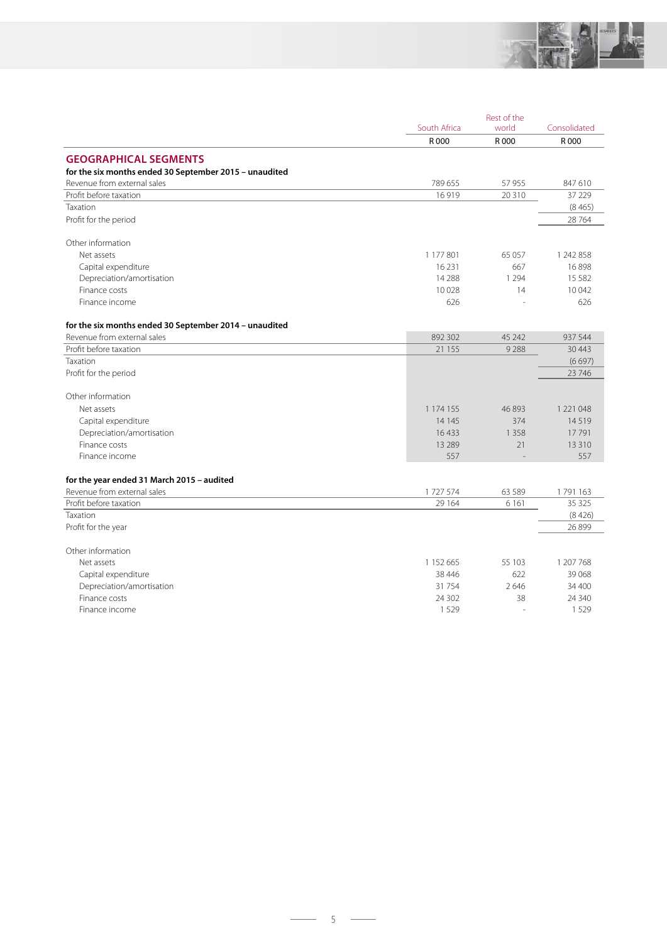

|                                                        |               | Rest of the<br>South Africa |                       |
|--------------------------------------------------------|---------------|-----------------------------|-----------------------|
|                                                        | R 000         | world<br>R 000              | Consolidated<br>R 000 |
|                                                        |               |                             |                       |
| <b>GEOGRAPHICAL SEGMENTS</b>                           |               |                             |                       |
| for the six months ended 30 September 2015 - unaudited |               |                             |                       |
| Revenue from external sales                            | 789 655       | 57 955                      | 847 610               |
| Profit before taxation                                 | 16 9 19       | 20 3 10                     | 37 229                |
| Taxation                                               |               |                             | (8465)                |
| Profit for the period                                  |               |                             | 28 764                |
| Other information                                      |               |                             |                       |
| Net assets                                             | 1 177 801     | 65 057                      | 1 242 858             |
| Capital expenditure                                    | 16 2 31       | 667                         | 16898                 |
| Depreciation/amortisation                              | 14 288        | 1 2 9 4                     | 15 5 8 2              |
| Finance costs                                          | 10028         | 14                          | 10 042                |
| Finance income                                         | 626           |                             | 626                   |
| for the six months ended 30 September 2014 - unaudited |               |                             |                       |
| Revenue from external sales                            | 892 302       | 45 242                      | 937 544               |
| Profit before taxation                                 | 21 155        | 9288                        | 30 4 43               |
| Taxation                                               |               |                             | (6697)                |
| Profit for the period                                  |               |                             | 23 746                |
| Other information                                      |               |                             |                       |
| Net assets                                             | 1 1 7 4 1 5 5 | 46893                       | 1 2 2 1 0 4 8         |
| Capital expenditure                                    | 14 145        | 374                         | 14519                 |
| Depreciation/amortisation                              | 16433         | 1 3 5 8                     | 17791                 |
| Finance costs                                          | 13 2 89       | 21                          | 13 3 10               |
| Finance income                                         | 557           |                             | 557                   |
| for the year ended 31 March 2015 - audited             |               |                             |                       |
| Revenue from external sales                            | 1727574       | 63 589                      | 1791163               |
| Profit before taxation                                 | 29 164        | 6 1 6 1                     | 35 325                |
| Taxation                                               |               |                             | (8426)                |
| Profit for the year                                    |               |                             | 26 899                |
| Other information                                      |               |                             |                       |
| Net assets                                             | 1 152 665     | 55 103                      | 1 207 768             |
| Capital expenditure                                    | 38 4 46       | 622                         | 39 0 68               |
| Depreciation/amortisation                              | 31 7 5 4      | 2646                        | 34 400                |
| Finance costs                                          | 24 302        | 38                          | 24 340                |
|                                                        |               |                             |                       |

5

 $\sim$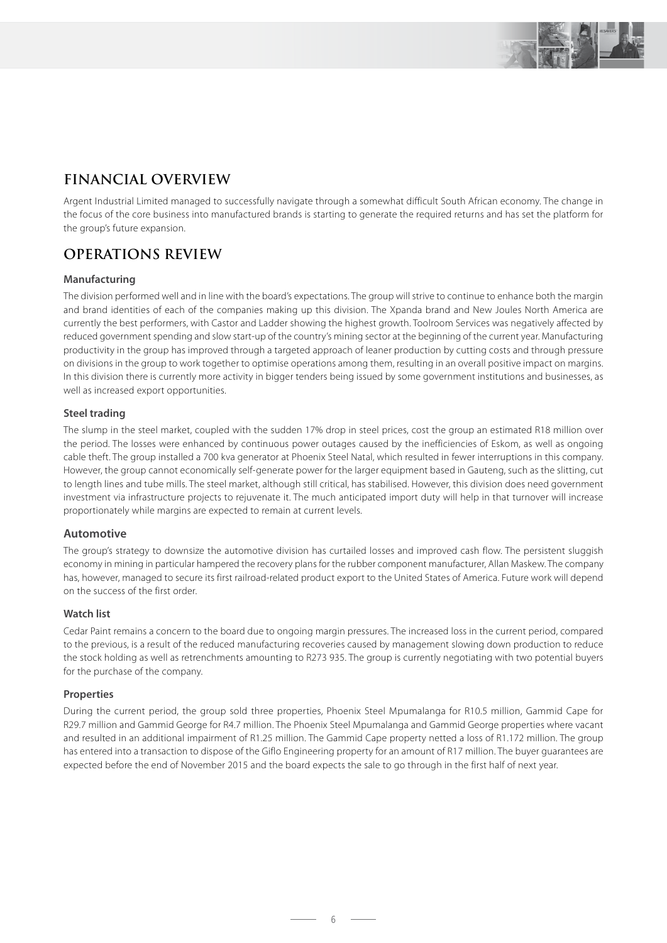

## **FINANCIAL OVERVIEW**

Argent Industrial Limited managed to successfully navigate through a somewhat difficult South African economy. The change in the focus of the core business into manufactured brands is starting to generate the required returns and has set the platform for the group's future expansion.

### **OPERATIONS REVIEW**

#### **Manufacturing**

The division performed well and in line with the board's expectations. The group will strive to continue to enhance both the margin and brand identities of each of the companies making up this division. The Xpanda brand and New Joules North America are currently the best performers, with Castor and Ladder showing the highest growth. Toolroom Services was negatively affected by reduced government spending and slow start-up of the country's mining sector at the beginning of the current year. Manufacturing productivity in the group has improved through a targeted approach of leaner production by cutting costs and through pressure on divisions in the group to work together to optimise operations among them, resulting in an overall positive impact on margins. In this division there is currently more activity in bigger tenders being issued by some government institutions and businesses, as well as increased export opportunities.

#### **Steel trading**

The slump in the steel market, coupled with the sudden 17% drop in steel prices, cost the group an estimated R18 million over the period. The losses were enhanced by continuous power outages caused by the inefficiencies of Eskom, as well as ongoing cable theft. The group installed a 700 kva generator at Phoenix Steel Natal, which resulted in fewer interruptions in this company. However, the group cannot economically self-generate power for the larger equipment based in Gauteng, such as the slitting, cut to length lines and tube mills. The steel market, although still critical, has stabilised. However, this division does need government investment via infrastructure projects to rejuvenate it. The much anticipated import duty will help in that turnover will increase proportionately while margins are expected to remain at current levels.

#### **Automotive**

The group's strategy to downsize the automotive division has curtailed losses and improved cash flow. The persistent sluggish economy in mining in particular hampered the recovery plans for the rubber component manufacturer, Allan Maskew. The company has, however, managed to secure its first railroad-related product export to the United States of America. Future work will depend on the success of the first order.

#### **Watch list**

Cedar Paint remains a concern to the board due to ongoing margin pressures. The increased loss in the current period, compared to the previous, is a result of the reduced manufacturing recoveries caused by management slowing down production to reduce the stock holding as well as retrenchments amounting to R273 935. The group is currently negotiating with two potential buyers for the purchase of the company.

#### **Properties**

During the current period, the group sold three properties, Phoenix Steel Mpumalanga for R10.5 million, Gammid Cape for R29.7 million and Gammid George for R4.7 million. The Phoenix Steel Mpumalanga and Gammid George properties where vacant and resulted in an additional impairment of R1.25 million. The Gammid Cape property netted a loss of R1.172 million. The group has entered into a transaction to dispose of the Giflo Engineering property for an amount of R17 million. The buyer guarantees are expected before the end of November 2015 and the board expects the sale to go through in the first half of next year.

 $6 -$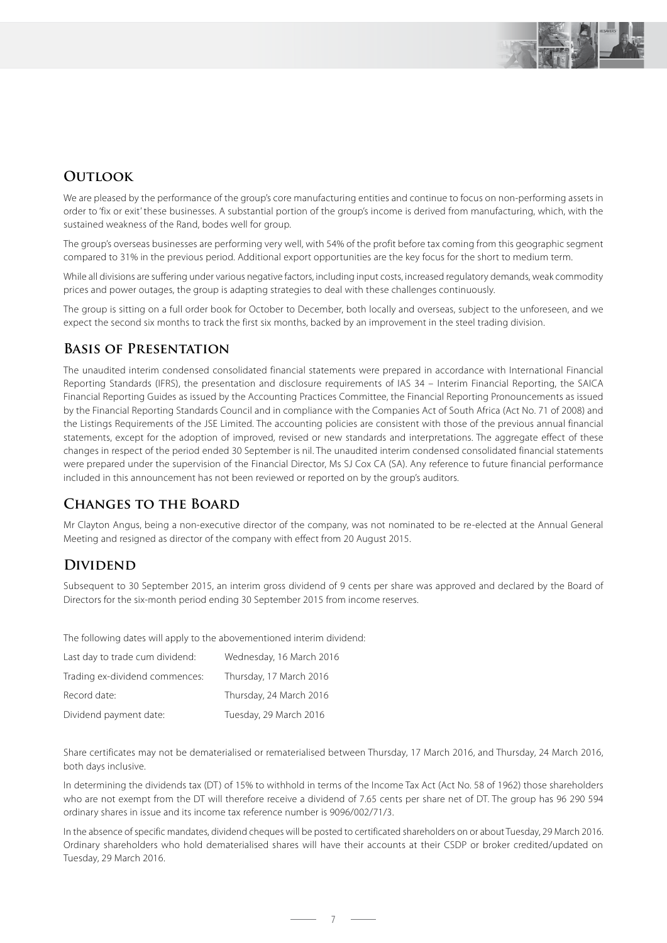

### **OUTLOOK**

We are pleased by the performance of the group's core manufacturing entities and continue to focus on non-performing assets in order to 'fix or exit' these businesses. A substantial portion of the group's income is derived from manufacturing, which, with the sustained weakness of the Rand, bodes well for group.

The group's overseas businesses are performing very well, with 54% of the profit before tax coming from this geographic segment compared to 31% in the previous period. Additional export opportunities are the key focus for the short to medium term.

While all divisions are suffering under various negative factors, including input costs, increased regulatory demands, weak commodity prices and power outages, the group is adapting strategies to deal with these challenges continuously.

The group is sitting on a full order book for October to December, both locally and overseas, subject to the unforeseen, and we expect the second six months to track the first six months, backed by an improvement in the steel trading division.

### **Basis of Presentation**

The unaudited interim condensed consolidated financial statements were prepared in accordance with International Financial Reporting Standards (IFRS), the presentation and disclosure requirements of IAS 34 – Interim Financial Reporting, the SAICA Financial Reporting Guides as issued by the Accounting Practices Committee, the Financial Reporting Pronouncements as issued by the Financial Reporting Standards Council and in compliance with the Companies Act of South Africa (Act No. 71 of 2008) and the Listings Requirements of the JSE Limited. The accounting policies are consistent with those of the previous annual financial statements, except for the adoption of improved, revised or new standards and interpretations. The aggregate effect of these changes in respect of the period ended 30 September is nil. The unaudited interim condensed consolidated financial statements were prepared under the supervision of the Financial Director, Ms SJ Cox CA (SA). Any reference to future financial performance included in this announcement has not been reviewed or reported on by the group's auditors.

### **Changes to the Board**

Mr Clayton Angus, being a non-executive director of the company, was not nominated to be re-elected at the Annual General Meeting and resigned as director of the company with effect from 20 August 2015.

### **DIVIDEND**

Subsequent to 30 September 2015, an interim gross dividend of 9 cents per share was approved and declared by the Board of Directors for the six-month period ending 30 September 2015 from income reserves.

The following dates will apply to the abovementioned interim dividend:

| Last day to trade cum dividend: | Wednesday, 16 March 2016 |
|---------------------------------|--------------------------|
| Trading ex-dividend commences:  | Thursday, 17 March 2016  |
| Record date:                    | Thursday, 24 March 2016  |
| Dividend payment date:          | Tuesday, 29 March 2016   |

Share certificates may not be dematerialised or rematerialised between Thursday, 17 March 2016, and Thursday, 24 March 2016, both days inclusive.

In determining the dividends tax (DT) of 15% to withhold in terms of the Income Tax Act (Act No. 58 of 1962) those shareholders who are not exempt from the DT will therefore receive a dividend of 7.65 cents per share net of DT. The group has 96 290 594 ordinary shares in issue and its income tax reference number is 9096/002/71/3.

In the absence of specific mandates, dividend cheques will be posted to certificated shareholders on or about Tuesday, 29 March 2016. Ordinary shareholders who hold dematerialised shares will have their accounts at their CSDP or broker credited/updated on Tuesday, 29 March 2016.

 $-7-$